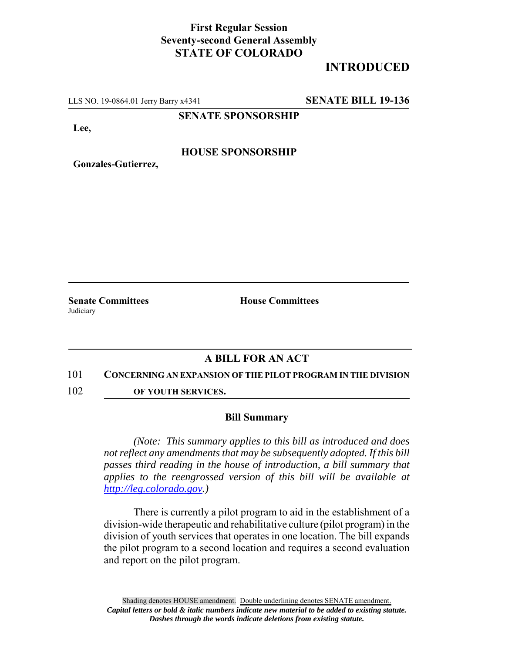## **First Regular Session Seventy-second General Assembly STATE OF COLORADO**

# **INTRODUCED**

LLS NO. 19-0864.01 Jerry Barry x4341 **SENATE BILL 19-136**

**SENATE SPONSORSHIP**

**Lee,**

### **HOUSE SPONSORSHIP**

**Gonzales-Gutierrez,**

**Senate Committees House Committees Judiciary** 

### **A BILL FOR AN ACT**

#### 101 **CONCERNING AN EXPANSION OF THE PILOT PROGRAM IN THE DIVISION**

102 **OF YOUTH SERVICES.**

#### **Bill Summary**

*(Note: This summary applies to this bill as introduced and does not reflect any amendments that may be subsequently adopted. If this bill passes third reading in the house of introduction, a bill summary that applies to the reengrossed version of this bill will be available at http://leg.colorado.gov.)*

There is currently a pilot program to aid in the establishment of a division-wide therapeutic and rehabilitative culture (pilot program) in the division of youth services that operates in one location. The bill expands the pilot program to a second location and requires a second evaluation and report on the pilot program.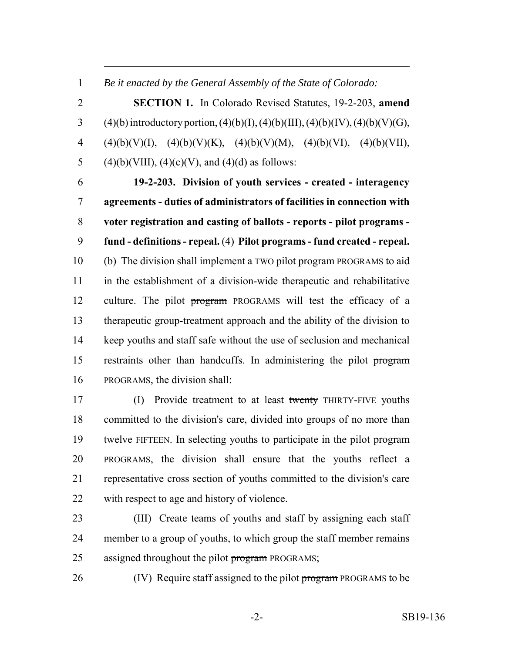*Be it enacted by the General Assembly of the State of Colorado:*

 **SECTION 1.** In Colorado Revised Statutes, 19-2-203, **amend** 3 (4)(b) introductory portion, (4)(b)(I), (4)(b)(III), (4)(b)(IV), (4)(b)(V)(G), 4 (4)(b)(V)(I), (4)(b)(V)(K), (4)(b)(V)(M), (4)(b)(VI), (4)(b)(VII), 5 (4)(b)(VIII), (4)(c)(V), and (4)(d) as follows:

 **19-2-203. Division of youth services - created - interagency agreements - duties of administrators of facilities in connection with voter registration and casting of ballots - reports - pilot programs - fund - definitions - repeal.** (4) **Pilot programs - fund created - repeal.** 10 (b) The division shall implement  $\alpha$  TWO pilot program PROGRAMS to aid in the establishment of a division-wide therapeutic and rehabilitative 12 culture. The pilot program PROGRAMS will test the efficacy of a therapeutic group-treatment approach and the ability of the division to keep youths and staff safe without the use of seclusion and mechanical 15 restraints other than handcuffs. In administering the pilot program PROGRAMS, the division shall:

 (I) Provide treatment to at least twenty THIRTY-FIVE youths committed to the division's care, divided into groups of no more than 19 twelve FIFTEEN. In selecting youths to participate in the pilot program PROGRAMS, the division shall ensure that the youths reflect a representative cross section of youths committed to the division's care with respect to age and history of violence.

 (III) Create teams of youths and staff by assigning each staff member to a group of youths, to which group the staff member remains 25 assigned throughout the pilot program PROGRAMS;

26 (IV) Require staff assigned to the pilot program PROGRAMS to be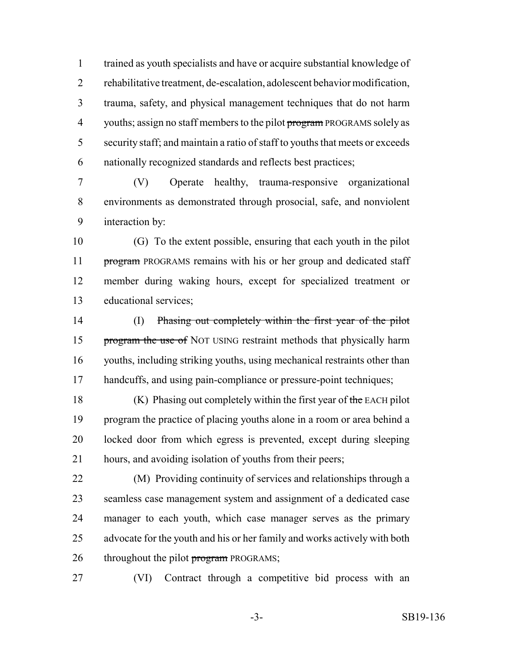trained as youth specialists and have or acquire substantial knowledge of rehabilitative treatment, de-escalation, adolescent behavior modification, trauma, safety, and physical management techniques that do not harm 4 youths; assign no staff members to the pilot program PROGRAMS solely as security staff; and maintain a ratio of staff to youths that meets or exceeds nationally recognized standards and reflects best practices;

 (V) Operate healthy, trauma-responsive organizational environments as demonstrated through prosocial, safe, and nonviolent interaction by:

 (G) To the extent possible, ensuring that each youth in the pilot 11 program PROGRAMS remains with his or her group and dedicated staff member during waking hours, except for specialized treatment or educational services;

 (I) Phasing out completely within the first year of the pilot 15 program the use of NOT USING restraint methods that physically harm youths, including striking youths, using mechanical restraints other than 17 handcuffs, and using pain-compliance or pressure-point techniques;

 $(K)$  Phasing out completely within the first year of the EACH pilot program the practice of placing youths alone in a room or area behind a locked door from which egress is prevented, except during sleeping hours, and avoiding isolation of youths from their peers;

 (M) Providing continuity of services and relationships through a seamless case management system and assignment of a dedicated case manager to each youth, which case manager serves as the primary advocate for the youth and his or her family and works actively with both 26 throughout the pilot **program** PROGRAMS;

(VI) Contract through a competitive bid process with an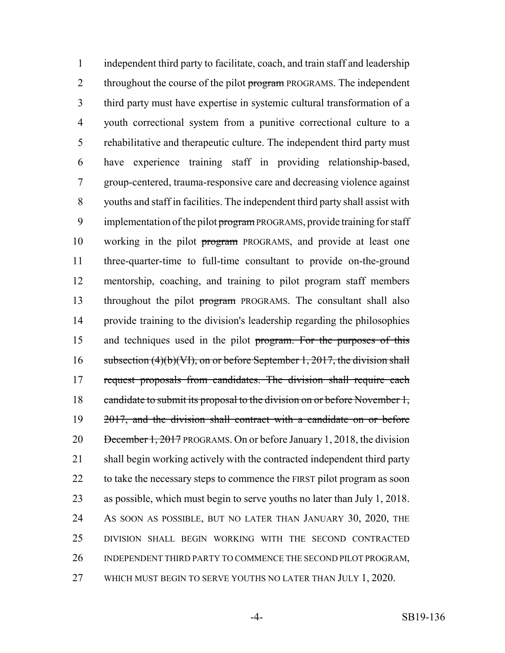independent third party to facilitate, coach, and train staff and leadership 2 throughout the course of the pilot program PROGRAMS. The independent third party must have expertise in systemic cultural transformation of a youth correctional system from a punitive correctional culture to a rehabilitative and therapeutic culture. The independent third party must have experience training staff in providing relationship-based, group-centered, trauma-responsive care and decreasing violence against youths and staff in facilities. The independent third party shall assist with 9 implementation of the pilot program PROGRAMS, provide training for staff working in the pilot program PROGRAMS, and provide at least one three-quarter-time to full-time consultant to provide on-the-ground mentorship, coaching, and training to pilot program staff members throughout the pilot program PROGRAMS. The consultant shall also provide training to the division's leadership regarding the philosophies 15 and techniques used in the pilot program. For the purposes of this 16 subsection (4)(b)(VI), on or before September 1, 2017, the division shall request proposals from candidates. The division shall require each 18 candidate to submit its proposal to the division on or before November 1, 19 2017, and the division shall contract with a candidate on or before 20 December 1, 2017 PROGRAMS. On or before January 1, 2018, the division shall begin working actively with the contracted independent third party 22 to take the necessary steps to commence the FIRST pilot program as soon as possible, which must begin to serve youths no later than July 1, 2018. AS SOON AS POSSIBLE, BUT NO LATER THAN JANUARY 30, 2020, THE DIVISION SHALL BEGIN WORKING WITH THE SECOND CONTRACTED INDEPENDENT THIRD PARTY TO COMMENCE THE SECOND PILOT PROGRAM, WHICH MUST BEGIN TO SERVE YOUTHS NO LATER THAN JULY 1, 2020.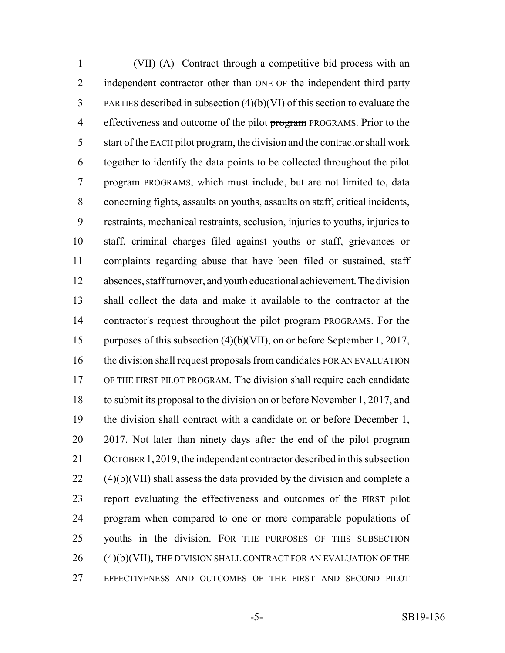(VII) (A) Contract through a competitive bid process with an 2 independent contractor other than ONE OF the independent third party PARTIES described in subsection (4)(b)(VI) of this section to evaluate the 4 effectiveness and outcome of the pilot program PROGRAMS. Prior to the 5 start of the EACH pilot program, the division and the contractor shall work together to identify the data points to be collected throughout the pilot program PROGRAMS, which must include, but are not limited to, data concerning fights, assaults on youths, assaults on staff, critical incidents, restraints, mechanical restraints, seclusion, injuries to youths, injuries to staff, criminal charges filed against youths or staff, grievances or complaints regarding abuse that have been filed or sustained, staff absences, staff turnover, and youth educational achievement. The division shall collect the data and make it available to the contractor at the 14 contractor's request throughout the pilot program PROGRAMS. For the purposes of this subsection (4)(b)(VII), on or before September 1, 2017, the division shall request proposals from candidates FOR AN EVALUATION OF THE FIRST PILOT PROGRAM. The division shall require each candidate to submit its proposal to the division on or before November 1, 2017, and the division shall contract with a candidate on or before December 1, 20 2017. Not later than ninety days after the end of the pilot program OCTOBER 1,2019, the independent contractor described in this subsection (4)(b)(VII) shall assess the data provided by the division and complete a report evaluating the effectiveness and outcomes of the FIRST pilot program when compared to one or more comparable populations of youths in the division. FOR THE PURPOSES OF THIS SUBSECTION (4)(b)(VII), THE DIVISION SHALL CONTRACT FOR AN EVALUATION OF THE EFFECTIVENESS AND OUTCOMES OF THE FIRST AND SECOND PILOT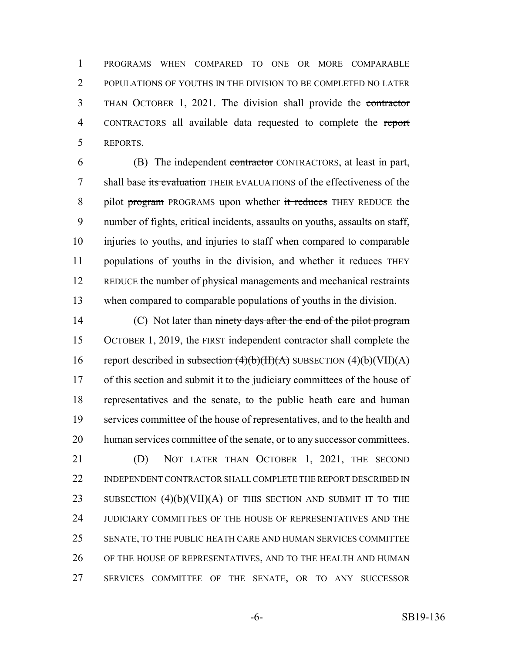PROGRAMS WHEN COMPARED TO ONE OR MORE COMPARABLE POPULATIONS OF YOUTHS IN THE DIVISION TO BE COMPLETED NO LATER THAN OCTOBER 1, 2021. The division shall provide the contractor CONTRACTORS all available data requested to complete the report REPORTS.

 (B) The independent contractor CONTRACTORS, at least in part, 7 shall base its evaluation THEIR EVALUATIONS of the effectiveness of the 8 pilot program PROGRAMS upon whether it reduces THEY REDUCE the number of fights, critical incidents, assaults on youths, assaults on staff, injuries to youths, and injuries to staff when compared to comparable 11 populations of youths in the division, and whether it reduces THEY REDUCE the number of physical managements and mechanical restraints when compared to comparable populations of youths in the division.

14 (C) Not later than ninety days after the end of the pilot program OCTOBER 1, 2019, the FIRST independent contractor shall complete the 16 report described in subsection  $(4)(b)(H)(A)$  SUBSECTION  $(4)(b)(VII)(A)$ 17 of this section and submit it to the judiciary committees of the house of representatives and the senate, to the public heath care and human services committee of the house of representatives, and to the health and human services committee of the senate, or to any successor committees. (D) NOT LATER THAN OCTOBER 1, 2021, THE SECOND 22 INDEPENDENT CONTRACTOR SHALL COMPLETE THE REPORT DESCRIBED IN 23 SUBSECTION  $(4)(b)(VII)(A)$  OF THIS SECTION AND SUBMIT IT TO THE

 SENATE, TO THE PUBLIC HEATH CARE AND HUMAN SERVICES COMMITTEE OF THE HOUSE OF REPRESENTATIVES, AND TO THE HEALTH AND HUMAN

JUDICIARY COMMITTEES OF THE HOUSE OF REPRESENTATIVES AND THE

SERVICES COMMITTEE OF THE SENATE, OR TO ANY SUCCESSOR